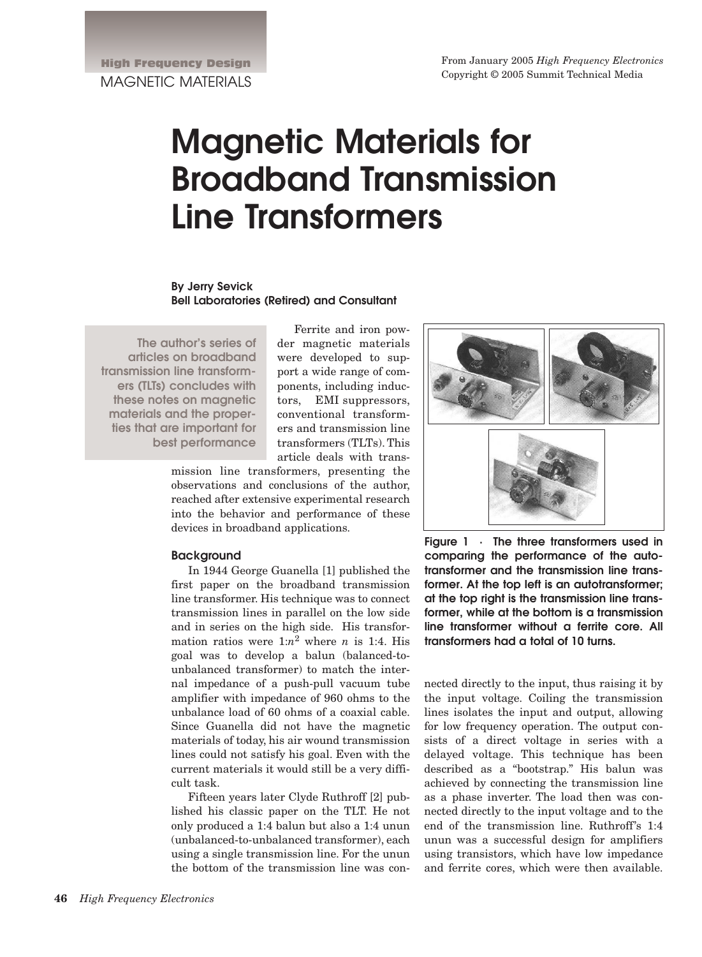# **Magnetic Materials for Broadband Transmission Line Transformers**

**By Jerry Sevick Bell Laboratories (Retired) and Consultant**

**The author's series of articles on broadband transmission line transformers (TLTs) concludes with these notes on magnetic materials and the properties that are important for best performance** 

Ferrite and iron powder magnetic materials were developed to support a wide range of components, including inductors, EMI suppressors, conventional transformers and transmission line transformers (TLTs). This article deals with trans-

mission line transformers, presenting the observations and conclusions of the author, reached after extensive experimental research into the behavior and performance of these devices in broadband applications.

## **Background**

In 1944 George Guanella [1] published the first paper on the broadband transmission line transformer. His technique was to connect transmission lines in parallel on the low side and in series on the high side. His transformation ratios were  $1:n^2$  where *n* is 1:4. His goal was to develop a balun (balanced-tounbalanced transformer) to match the internal impedance of a push-pull vacuum tube amplifier with impedance of 960 ohms to the unbalance load of 60 ohms of a coaxial cable. Since Guanella did not have the magnetic materials of today, his air wound transmission lines could not satisfy his goal. Even with the current materials it would still be a very difficult task.

Fifteen years later Clyde Ruthroff [2] published his classic paper on the TLT. He not only produced a 1:4 balun but also a 1:4 unun (unbalanced-to-unbalanced transformer), each using a single transmission line. For the unun the bottom of the transmission line was con-



**Figure 1 · The three transformers used in comparing the performance of the autotransformer and the transmission line transformer. At the top left is an autotransformer; at the top right is the transmission line transformer, while at the bottom is a transmission line transformer without a ferrite core. All transformers had a total of 10 turns.**

nected directly to the input, thus raising it by the input voltage. Coiling the transmission lines isolates the input and output, allowing for low frequency operation. The output consists of a direct voltage in series with a delayed voltage. This technique has been described as a "bootstrap." His balun was achieved by connecting the transmission line as a phase inverter. The load then was connected directly to the input voltage and to the end of the transmission line. Ruthroff's 1:4 unun was a successful design for amplifiers using transistors, which have low impedance and ferrite cores, which were then available.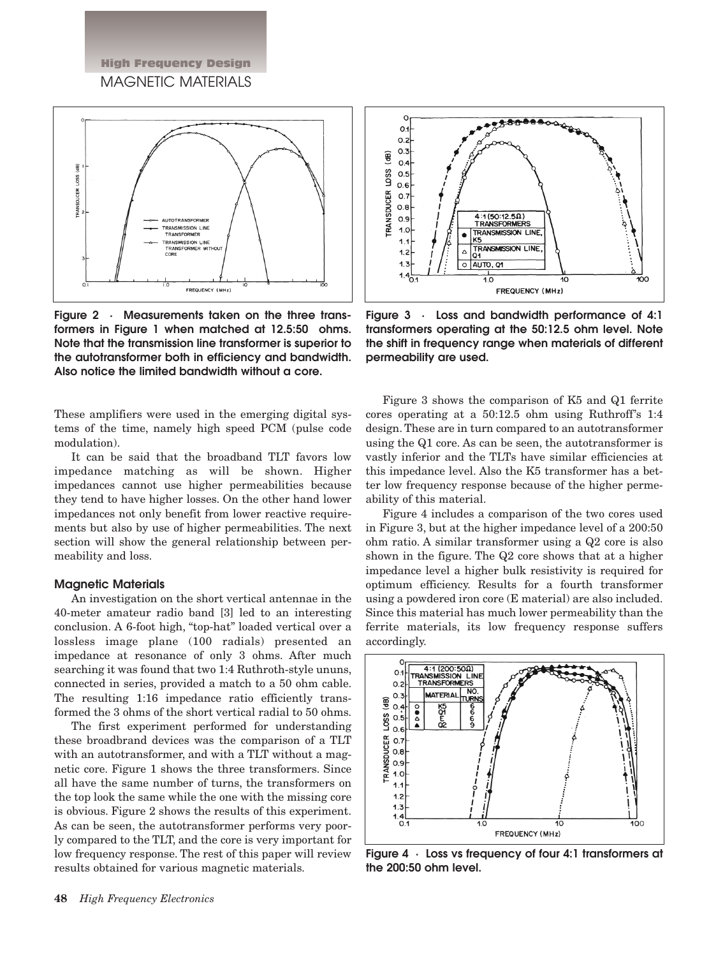High Frequency Design MAGNETIC MATERIALS



**Figure 2 · Measurements taken on the three transformers in Figure 1 when matched at 12.5:50 ohms. Note that the transmission line transformer is superior to the autotransformer both in efficiency and bandwidth. Also notice the limited bandwidth without a core.**

These amplifiers were used in the emerging digital systems of the time, namely high speed PCM (pulse code modulation).

It can be said that the broadband TLT favors low impedance matching as will be shown. Higher impedances cannot use higher permeabilities because they tend to have higher losses. On the other hand lower impedances not only benefit from lower reactive requirements but also by use of higher permeabilities. The next section will show the general relationship between permeability and loss.

### **Magnetic Materials**

An investigation on the short vertical antennae in the 40-meter amateur radio band [3] led to an interesting conclusion. A 6-foot high, "top-hat" loaded vertical over a lossless image plane (100 radials) presented an impedance at resonance of only 3 ohms. After much searching it was found that two 1:4 Ruthroth-style ununs, connected in series, provided a match to a 50 ohm cable. The resulting 1:16 impedance ratio efficiently transformed the 3 ohms of the short vertical radial to 50 ohms.

The first experiment performed for understanding these broadbrand devices was the comparison of a TLT with an autotransformer, and with a TLT without a magnetic core. Figure 1 shows the three transformers. Since all have the same number of turns, the transformers on the top look the same while the one with the missing core is obvious. Figure 2 shows the results of this experiment. As can be seen, the autotransformer performs very poorly compared to the TLT, and the core is very important for low frequency response. The rest of this paper will review results obtained for various magnetic materials.



**Figure 3 · Loss and bandwidth performance of 4:1 transformers operating at the 50:12.5 ohm level. Note the shift in frequency range when materials of different permeability are used.**

Figure 3 shows the comparison of K5 and Q1 ferrite cores operating at a 50:12.5 ohm using Ruthroff's 1:4 design. These are in turn compared to an autotransformer using the Q1 core. As can be seen, the autotransformer is vastly inferior and the TLTs have similar efficiencies at this impedance level. Also the K5 transformer has a better low frequency response because of the higher permeability of this material.

Figure 4 includes a comparison of the two cores used in Figure 3, but at the higher impedance level of a 200:50 ohm ratio. A similar transformer using a Q2 core is also shown in the figure. The Q2 core shows that at a higher impedance level a higher bulk resistivity is required for optimum efficiency. Results for a fourth transformer using a powdered iron core (E material) are also included. Since this material has much lower permeability than the ferrite materials, its low frequency response suffers accordingly.



**Figure 4 · Loss vs frequency of four 4:1 transformers at the 200:50 ohm level.**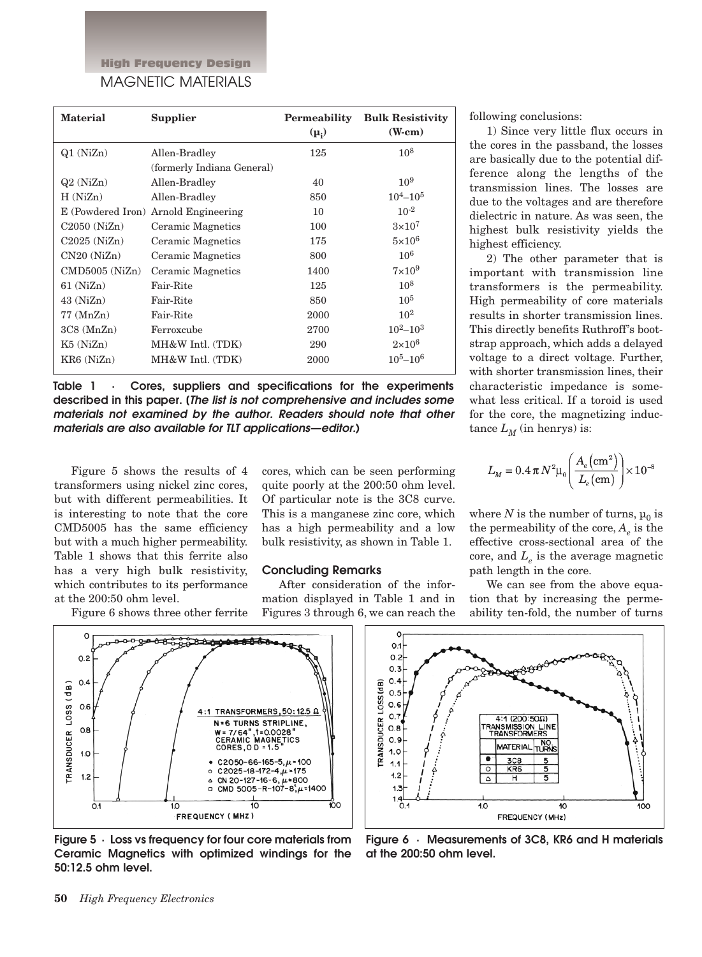High Frequency Design MAGNETIC MATERIALS

| <b>Material</b>    | Supplier                             | Permeability<br>$(\mu_i)$ | <b>Bulk Resistivity</b><br>$(W-cm)$ |
|--------------------|--------------------------------------|---------------------------|-------------------------------------|
| $Q1$ (NiZn)        | Allen-Bradley                        | 125                       | $10^{8}$                            |
|                    | (formerly Indiana General)           |                           |                                     |
| Q2(NiZn)           | Allen-Bradley                        | 40                        | $10^{9}$                            |
| H(NiZn)            | Allen-Bradley                        | 850                       | $10^4 - 10^5$                       |
|                    | E (Powdered Iron) Arnold Engineering | 10                        | $10^{-2}$                           |
| $C2050$ (NiZn)     | Ceramic Magnetics                    | 100                       | $3\times10^7$                       |
| $C2025$ (NiZn)     | Ceramic Magnetics                    | 175                       | $5\times10^6$                       |
| CN20(NiZn)         | Ceramic Magnetics                    | 800                       | $10^{6}$                            |
| $CMD5005$ $(NiZn)$ | Ceramic Magnetics                    | 1400                      | $7\times10^9$                       |
| $61$ (NiZn)        | Fair-Rite                            | 125                       | $10^{8}$                            |
| $43$ (NiZn)        | Fair-Rite                            | 850                       | $10^{5}$                            |
| $77 \, (MnZn)$     | Fair-Rite                            | 2000                      | $10^{2}$                            |
| 3C8 (MnZn)         | Ferroxcube                           | 2700                      | $10^2 - 10^3$                       |
| $K5$ (NiZn)        | MH&W Intl. (TDK)                     | 290                       | $2\times10^6$                       |
| KR6(NiZn)          | MH&W Intl. (TDK)                     | 2000                      | $10^5 - 10^6$                       |

**Table 1 · Cores, suppliers and specifications for the experiments described in this paper. [The list is not comprehensive and includes some materials not examined by the author. Readers should note that other materials are also available for TLT applications—editor.)** 

Figure 5 shows the results of 4 transformers using nickel zinc cores, but with different permeabilities. It is interesting to note that the core CMD5005 has the same efficiency but with a much higher permeability. Table 1 shows that this ferrite also has a very high bulk resistivity, which contributes to its performance at the 200:50 ohm level.

Figure 6 shows three other ferrite

cores, which can be seen performing quite poorly at the 200:50 ohm level. Of particular note is the 3C8 curve. This is a manganese zinc core, which has a high permeability and a low bulk resistivity, as shown in Table 1.

## **Concluding Remarks**

After consideration of the information displayed in Table 1 and in Figures 3 through 6, we can reach the

following conclusions:

1) Since very little flux occurs in the cores in the passband, the losses are basically due to the potential difference along the lengths of the transmission lines. The losses are due to the voltages and are therefore dielectric in nature. As was seen, the highest bulk resistivity yields the highest efficiency.

2) The other parameter that is important with transmission line transformers is the permeability. High permeability of core materials results in shorter transmission lines. This directly benefits Ruthroff's bootstrap approach, which adds a delayed voltage to a direct voltage. Further, with shorter transmission lines, their characteristic impedance is somewhat less critical. If a toroid is used for the core, the magnetizing inductance  $L_M$  (in henrys) is:

$$
L_M = 0.4 \,\pi \, N^2 \mu_0 \Bigg( \frac{A_e (\text{cm}^2)}{L_e (\text{cm})} \Bigg) \times 10^{-8}
$$

where *N* is the number of turns,  $\mu_0$  is the permeability of the core,  $A_{\rho}$  is the effective cross-sectional area of the core, and  $L_{\rho}$  is the average magnetic path length in the core.

We can see from the above equation that by increasing the permeability ten-fold, the number of turns



**Figure 5 · Loss vs frequency for four core materials from Ceramic Magnetics with optimized windings for the 50:12.5 ohm level.**



**Figure 6 · Measurements of 3C8, KR6 and H materials at the 200:50 ohm level.**